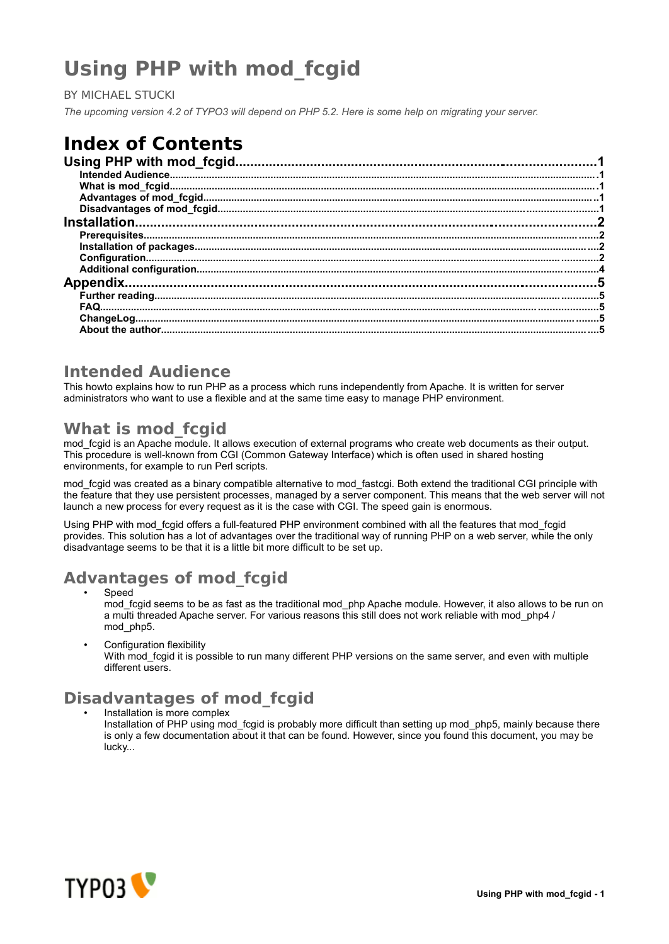# **Using PHP with mod\_fcgid**

BY MICHAEL STUCKI

*The upcoming version 4.2 of TYPO3 will depend on PHP 5.2. Here is some help on migrating your server.*

# **Index of Contents**

| مستقل المستقل المستقل المستقل المستقل المستقل المستقل المستقل المستقل المستقل المستقل المستقل المستقل المستقلة<br>5. مستقل المستقل المستقل المستقل المستقل المستقل المستقل المستقل المستقل المستقل المستقل المستقل المستقل المست |  |
|----------------------------------------------------------------------------------------------------------------------------------------------------------------------------------------------------------------------------------|--|
|                                                                                                                                                                                                                                  |  |

#### **Intended Audience**

This howto explains how to run PHP as a process which runs independently from Apache. It is written for server administrators who want to use a flexible and at the same time easy to manage PHP environment.

### **What is mod\_fcgid**

mod fcgid is an Apache module. It allows execution of external programs who create web documents as their output. This procedure is well-known from CGI (Common Gateway Interface) which is often used in shared hosting environments, for example to run Perl scripts.

mod fcgid was created as a binary compatible alternative to mod fastcgi. Both extend the traditional CGI principle with the feature that they use persistent processes, managed by a server component. This means that the web server will not launch a new process for every request as it is the case with CGI. The speed gain is enormous.

Using PHP with mod\_fcgid offers a full-featured PHP environment combined with all the features that mod\_fcgid provides. This solution has a lot of advantages over the traditional way of running PHP on a web server, while the only disadvantage seems to be that it is a little bit more difficult to be set up.

# **Advantages of mod\_fcgid**

- **Speed** mod fcgid seems to be as fast as the traditional mod php Apache module. However, it also allows to be run on a multi threaded Apache server. For various reasons this still does not work reliable with mod\_php4 / mod\_php5.
- Configuration flexibility

With mod fcgid it is possible to run many different PHP versions on the same server, and even with multiple different users.

## **Disadvantages of mod\_fcgid**

• Installation is more complex

Installation of PHP using mod\_fcgid is probably more difficult than setting up mod\_php5, mainly because there is only a few documentation about it that can be found. However, since you found this document, you may be lucky...

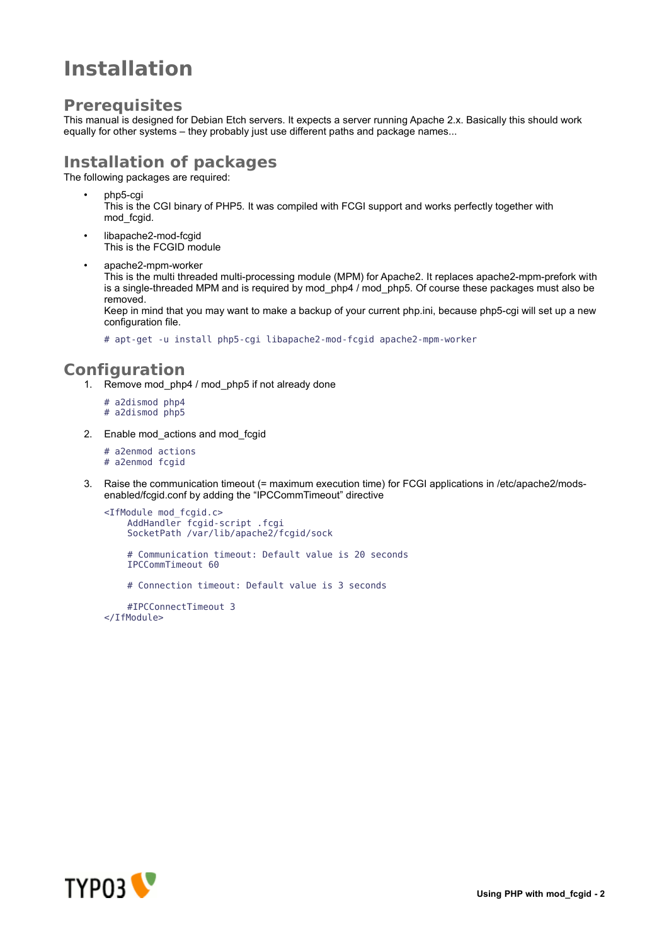# **Installation**

### **Prerequisites**

This manual is designed for Debian Etch servers. It expects a server running Apache 2.x. Basically this should work equally for other systems – they probably just use different paths and package names...

## **Installation of packages**

The following packages are required:

• php5-cgi

This is the CGI binary of PHP5. It was compiled with FCGI support and works perfectly together with mod\_fcgid.

- libapache2-mod-fcgid This is the FCGID module
	- apache2-mpm-worker This is the multi threaded multi-processing module (MPM) for Apache2. It replaces apache2-mpm-prefork with is a single-threaded MPM and is required by mod php4 / mod php5. Of course these packages must also be removed.

Keep in mind that you may want to make a backup of your current php.ini, because php5-cgi will set up a new configuration file.

# apt-get -u install php5-cgi libapache2-mod-fcgid apache2-mpm-worker

### **Configuration**

- 1. Remove mod\_php4 / mod\_php5 if not already done
	- # a2dismod php4
	- # a2dismod php5
- 2. Enable mod\_actions and mod\_fcgid
	- # a2enmod actions
	- # a2enmod fcgid
- 3. Raise the communication timeout (= maximum execution time) for FCGI applications in /etc/apache2/modsenabled/fcgid.conf by adding the "IPCCommTimeout" directive

```
<IfModule mod_fcgid.c>
    AddHandler fcgid-script .fcgi
    SocketPath /var/lib/apache2/fcgid/sock
    # Communication timeout: Default value is 20 seconds
    IPCCommTimeout 60
    # Connection timeout: Default value is 3 seconds
```
#IPCConnectTimeout 3 </IfModule>

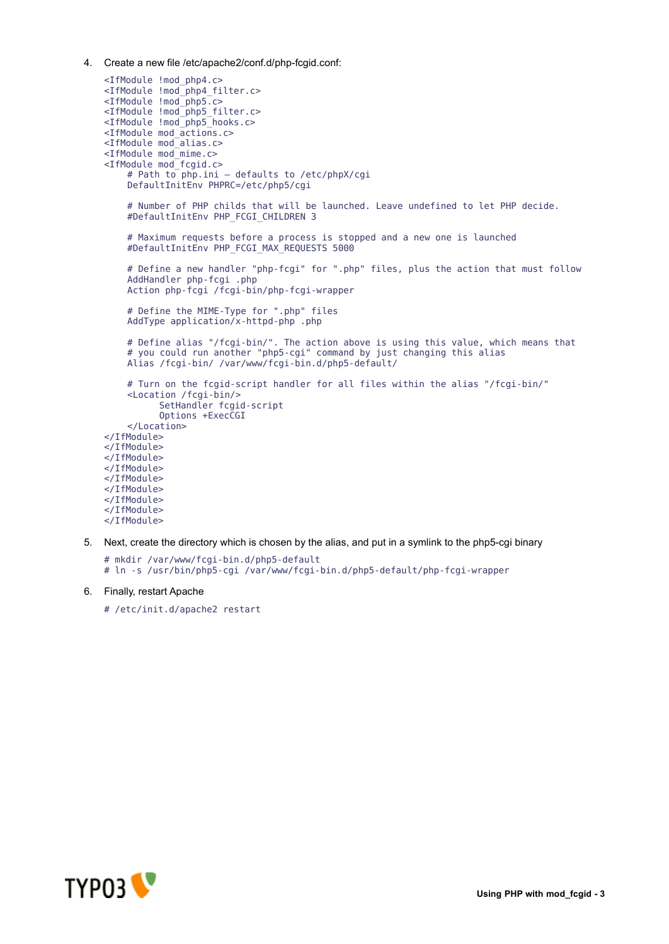4. Create a new file /etc/apache2/conf.d/php-fcgid.conf:

```
<IfModule !mod_php4.c>
<IfModule !mod_php4_filter.c>
<IfModule !mod_php5.c>
<IfModule !mod_php5_filter.c>
<IfModule !mod_php5_hooks.c>
<IfModule mod_actions.c>
<IfModule mod_alias.c>
<IfModule mod_mime.c>
<IfModule mod_fcgid.c>
    # Path to php.ini – defaults to /etc/phpX/cgi
    DefaultInitEnv PHPRC=/etc/php5/cgi
    # Number of PHP childs that will be launched. Leave undefined to let PHP decide.
    #DefaultInitEnv PHP_FCGI_CHILDREN 3
    # Maximum requests before a process is stopped and a new one is launched
    #DefaultInitEnv PHP_FCGI_MAX_REQUESTS 5000
    # Define a new handler "php-fcgi" for ".php" files, plus the action that must follow
    AddHandler php-fcgi .php
    Action php-fcgi /fcgi-bin/php-fcgi-wrapper
    # Define the MIME-Type for ".php" files
    AddType application/x-httpd-php .php
    # Define alias "/fcgi-bin/". The action above is using this value, which means that
    # you could run another "php5-cgi" command by just changing this alias
    Alias /fcgi-bin/ /var/www/fcgi-bin.d/php5-default/
    # Turn on the fcgid-script handler for all files within the alias "/fcgi-bin/"
    <Location /fcgi-bin/>
          SetHandler fcgid-script
          Options +ExecCGI
    </Location>
</IfModule>
</IfModule>
</IfModule>
</IfModule>
</IfModule>
</IfModule>
</IfModule>
</IfModule>
</IfModule>
```
5. Next, create the directory which is chosen by the alias, and put in a symlink to the php5-cgi binary

```
# mkdir /var/www/fcgi-bin.d/php5-default
```
- # ln -s /usr/bin/php5-cgi /var/www/fcgi-bin.d/php5-default/php-fcgi-wrapper
- 6. Finally, restart Apache
	- # /etc/init.d/apache2 restart

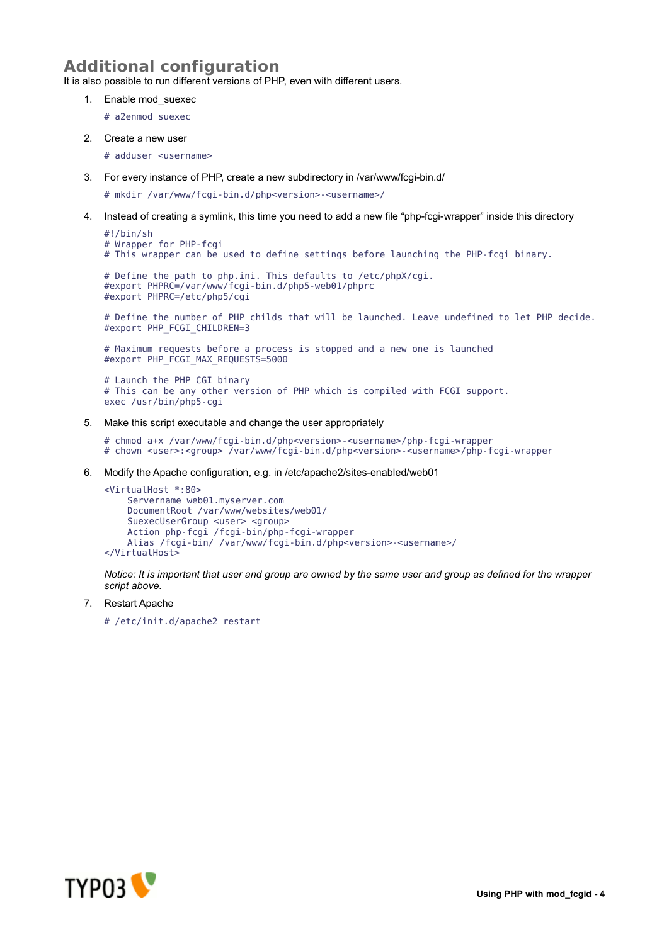## **Additional configuration**

It is also possible to run different versions of PHP, even with different users.

- 1. Enable mod\_suexec
	- # a2enmod suexec
- 2. Create a new user

# adduser <username>

3. For every instance of PHP, create a new subdirectory in /var/www/fcgi-bin.d/

# mkdir /var/www/fcgi-bin.d/php<version>-<username>/

4. Instead of creating a symlink, this time you need to add a new file "php-fcgi-wrapper" inside this directory

```
#!/bin/sh
# Wrapper for PHP-fcgi
# This wrapper can be used to define settings before launching the PHP-fcgi binary.
```

```
# Define the path to php.ini. This defaults to /etc/phpX/cgi.
#export PHPRC=/var/www/fcgi-bin.d/php5-web01/phprc
#export PHPRC=/etc/php5/cgi
```
# Define the number of PHP childs that will be launched. Leave undefined to let PHP decide. #export PHP\_FCGI\_CHILDREN=3

# Maximum requests before a process is stopped and a new one is launched #export PHP\_FCGI\_MAX\_REQUESTS=5000

# Launch the PHP CGI binary # This can be any other version of PHP which is compiled with FCGI support. exec /usr/bin/php5-cgi

5. Make this script executable and change the user appropriately

# chmod a+x /var/www/fcgi-bin.d/php<version>-<username>/php-fcgi-wrapper # chown <user>:<group> /var/www/fcgi-bin.d/php<version>-<username>/php-fcgi-wrapper

6. Modify the Apache configuration, e.g. in /etc/apache2/sites-enabled/web01

```
<VirtualHost *:80>
    Servername web01.myserver.com
    DocumentRoot /var/www/websites/web01/
    SuexecUserGroup <user> <group>
    Action php-fcgi /fcgi-bin/php-fcgi-wrapper
    Alias /fcgi-bin/ /var/www/fcgi-bin.d/php<version>-<username>/
</VirtualHost>
```
*Notice: It is important that user and group are owned by the same user and group as defined for the wrapper script above.*

7. Restart Apache

# /etc/init.d/apache2 restart